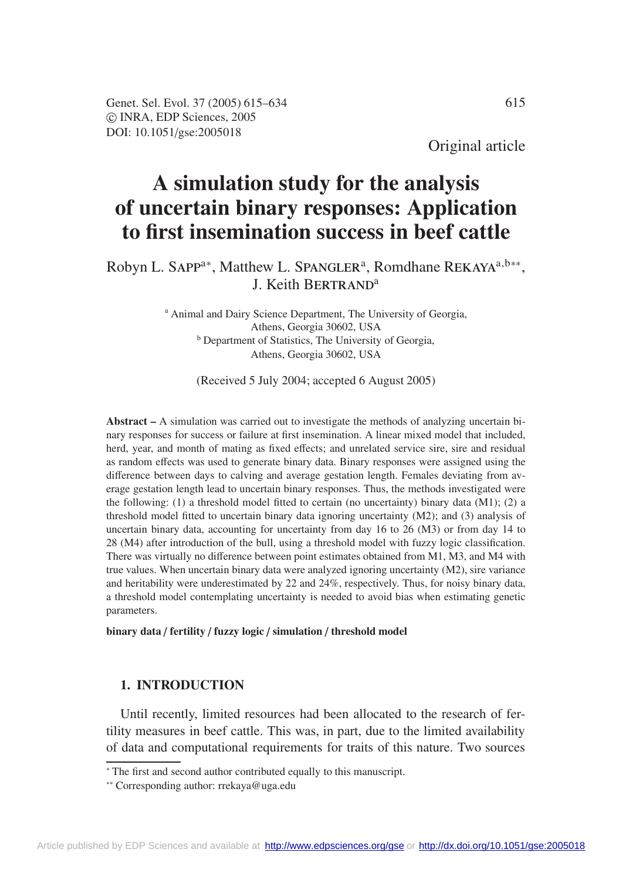Original article

# **A simulation study for the analysis of uncertain binary responses: Application to first insemination success in beef cattle**

# Robyn L. SAPP<sup>a\*</sup>, Matthew L. SPANGLER<sup>a</sup>, Romdhane REKAYA<sup>a,b\*\*</sup>, J. Keith BERTRAND<sup>a</sup>

<sup>a</sup> Animal and Dairy Science Department, The University of Georgia, Athens, Georgia 30602, USA <sup>b</sup> Department of Statistics, The University of Georgia, Athens, Georgia 30602, USA

(Received 5 July 2004; accepted 6 August 2005)

**Abstract –** A simulation was carried out to investigate the methods of analyzing uncertain binary responses for success or failure at first insemination. A linear mixed model that included, herd, year, and month of mating as fixed effects; and unrelated service sire, sire and residual as random effects was used to generate binary data. Binary responses were assigned using the difference between days to calving and average gestation length. Females deviating from average gestation length lead to uncertain binary responses. Thus, the methods investigated were the following: (1) a threshold model fitted to certain (no uncertainty) binary data (M1); (2) a threshold model fitted to uncertain binary data ignoring uncertainty (M2); and (3) analysis of uncertain binary data, accounting for uncertainty from day 16 to 26 (M3) or from day 14 to 28 (M4) after introduction of the bull, using a threshold model with fuzzy logic classification. There was virtually no difference between point estimates obtained from M1, M3, and M4 with true values. When uncertain binary data were analyzed ignoring uncertainty (M2), sire variance and heritability were underestimated by 22 and 24%, respectively. Thus, for noisy binary data, a threshold model contemplating uncertainty is needed to avoid bias when estimating genetic parameters.

**binary data** / **fertility** / **fuzzy logic** / **simulation** / **threshold model**

# **1. INTRODUCTION**

Until recently, limited resources had been allocated to the research of fertility measures in beef cattle. This was, in part, due to the limited availability of data and computational requirements for traits of this nature. Two sources

<sup>∗</sup> The first and second author contributed equally to this manuscript.

<sup>∗∗</sup> Corresponding author: rrekaya@uga.edu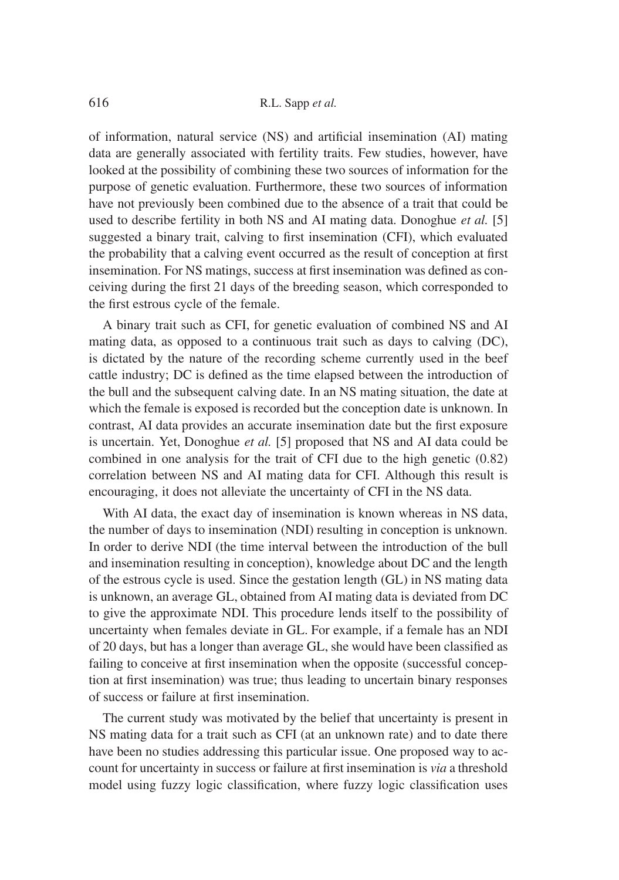of information, natural service (NS) and artificial insemination (AI) mating data are generally associated with fertility traits. Few studies, however, have looked at the possibility of combining these two sources of information for the purpose of genetic evaluation. Furthermore, these two sources of information have not previously been combined due to the absence of a trait that could be used to describe fertility in both NS and AI mating data. Donoghue *et al.* [5] suggested a binary trait, calving to first insemination (CFI), which evaluated the probability that a calving event occurred as the result of conception at first insemination. For NS matings, success at first insemination was defined as conceiving during the first 21 days of the breeding season, which corresponded to the first estrous cycle of the female.

A binary trait such as CFI, for genetic evaluation of combined NS and AI mating data, as opposed to a continuous trait such as days to calving (DC), is dictated by the nature of the recording scheme currently used in the beef cattle industry; DC is defined as the time elapsed between the introduction of the bull and the subsequent calving date. In an NS mating situation, the date at which the female is exposed is recorded but the conception date is unknown. In contrast, AI data provides an accurate insemination date but the first exposure is uncertain. Yet, Donoghue *et al.* [5] proposed that NS and AI data could be combined in one analysis for the trait of CFI due to the high genetic (0.82) correlation between NS and AI mating data for CFI. Although this result is encouraging, it does not alleviate the uncertainty of CFI in the NS data.

With AI data, the exact day of insemination is known whereas in NS data, the number of days to insemination (NDI) resulting in conception is unknown. In order to derive NDI (the time interval between the introduction of the bull and insemination resulting in conception), knowledge about DC and the length of the estrous cycle is used. Since the gestation length (GL) in NS mating data is unknown, an average GL, obtained from AI mating data is deviated from DC to give the approximate NDI. This procedure lends itself to the possibility of uncertainty when females deviate in GL. For example, if a female has an NDI of 20 days, but has a longer than average GL, she would have been classified as failing to conceive at first insemination when the opposite (successful conception at first insemination) was true; thus leading to uncertain binary responses of success or failure at first insemination.

The current study was motivated by the belief that uncertainty is present in NS mating data for a trait such as CFI (at an unknown rate) and to date there have been no studies addressing this particular issue. One proposed way to account for uncertainty in success or failure at first insemination is *via* a threshold model using fuzzy logic classification, where fuzzy logic classification uses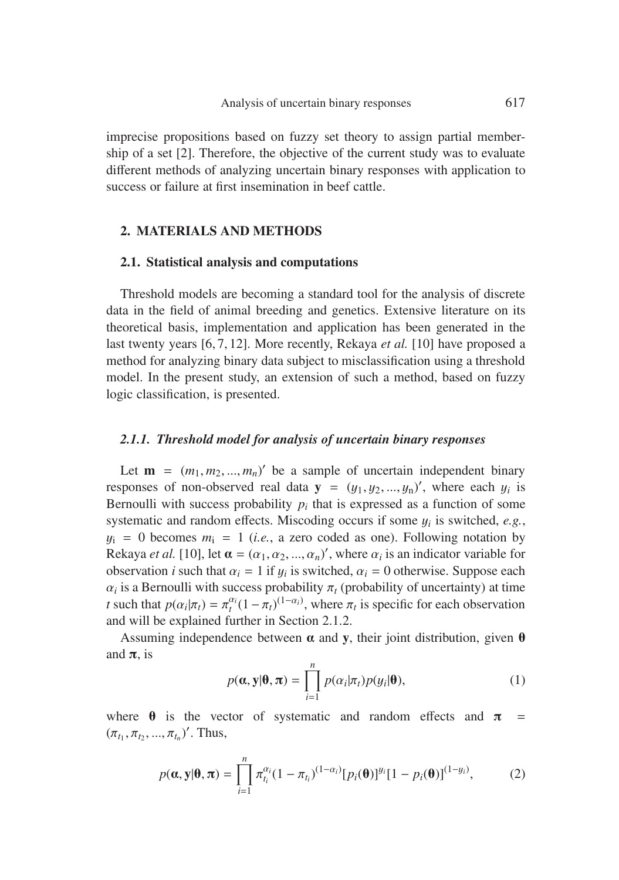imprecise propositions based on fuzzy set theory to assign partial membership of a set [2]. Therefore, the objective of the current study was to evaluate different methods of analyzing uncertain binary responses with application to success or failure at first insemination in beef cattle.

# **2. MATERIALS AND METHODS**

#### **2.1. Statistical analysis and computations**

Threshold models are becoming a standard tool for the analysis of discrete data in the field of animal breeding and genetics. Extensive literature on its theoretical basis, implementation and application has been generated in the last twenty years [6, 7, 12]. More recently, Rekaya *et al.* [10] have proposed a method for analyzing binary data subject to misclassification using a threshold model. In the present study, an extension of such a method, based on fuzzy logic classification, is presented.

## *2.1.1. Threshold model for analysis of uncertain binary responses*

Let  $\mathbf{m} = (m_1, m_2, ..., m_n)'$  be a sample of uncertain independent binary responses of non-observed real data  $y = (y_1, y_2, ..., y_n)'$ , where each  $y_i$  is Bernoulli with success probability  $p_i$  that is expressed as a function of some systematic and random effects. Miscoding occurs if some y*<sup>i</sup>* is switched, *e.g.*,  $y_i = 0$  becomes  $m_i = 1$  (*i.e.*, a zero coded as one). Following notation by Rekaya *et al.* [10], let  $\alpha = (\alpha_1, \alpha_2, ..., \alpha_n)'$ , where  $\alpha_i$  is an indicator variable for observation *i* such that  $\alpha_i = 1$  if  $y_i$  is switched,  $\alpha_i = 0$  otherwise. Suppose each  $\alpha_i$  is a Bernoulli with success probability  $\pi_t$  (probability of uncertainty) at time *t* such that  $p(\alpha_i | \pi_t) = \pi_t^{\alpha_i} (1 - \pi_t)^{(1 - \alpha_i)}$ , where  $\pi_t$  is specific for each observation and will be explained further in Section 2.1.2.

Assuming independence between  $\alpha$  and **y**, their joint distribution, given  $\theta$ and  $\pi$ , is

$$
p(\mathbf{\alpha}, \mathbf{y} | \mathbf{\theta}, \boldsymbol{\pi}) = \prod_{i=1}^{n} p(\alpha_i | \pi_t) p(y_i | \mathbf{\theta}),
$$
 (1)

where  $\theta$  is the vector of systematic and random effects and  $\pi$  =  $(\pi_{t_1}, \pi_{t_2}, ..., \pi_{t_n})'$ . Thus,

$$
p(\boldsymbol{\alpha}, \mathbf{y}|\boldsymbol{\theta}, \boldsymbol{\pi}) = \prod_{i=1}^{n} \pi_{t_i}^{\alpha_i} (1 - \pi_{t_i})^{(1 - \alpha_i)} [p_i(\boldsymbol{\theta})]^{y_i} [1 - p_i(\boldsymbol{\theta})]^{(1 - y_i)}, \tag{2}
$$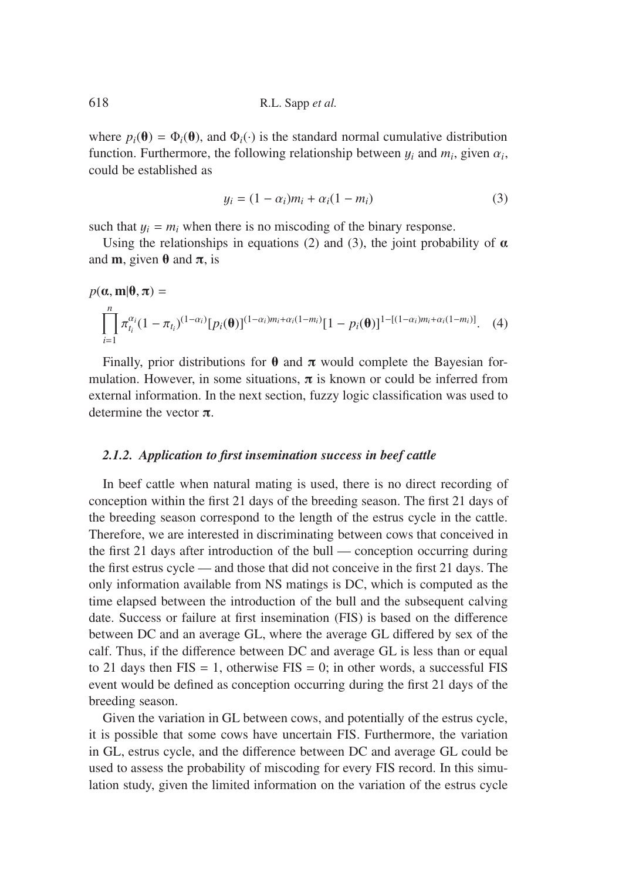618 R.L. Sapp *et al.*

where  $p_i(\theta) = \Phi_i(\theta)$ , and  $\Phi_i(\cdot)$  is the standard normal cumulative distribution function. Furthermore, the following relationship between  $y_i$  and  $m_i$ , given  $\alpha_i$ , could be established as

$$
y_i = (1 - \alpha_i)m_i + \alpha_i(1 - m_i)
$$
\n(3)

such that  $y_i = m_i$  when there is no miscoding of the binary response.

Using the relationships in equations (2) and (3), the joint probability of  $\alpha$ and **m**, given  $\theta$  and  $\pi$ , is

$$
p(\mathbf{\alpha}, \mathbf{m}|\mathbf{\theta}, \boldsymbol{\pi}) =
$$
  

$$
\prod_{i=1}^{n} \pi_{t_i}^{\alpha_i} (1 - \pi_{t_i})^{(1 - \alpha_i)} [p_i(\mathbf{\theta})]^{(1 - \alpha_i)m_i + \alpha_i(1 - m_i)} [1 - p_i(\mathbf{\theta})]^{1 - [(1 - \alpha_i)m_i + \alpha_i(1 - m_i)]}. \quad (4)
$$

Finally, prior distributions for  $\theta$  and  $\pi$  would complete the Bayesian formulation. However, in some situations,  $\pi$  is known or could be inferred from external information. In the next section, fuzzy logic classification was used to determine the vector  $\pi$ .

#### *2.1.2. Application to first insemination success in beef cattle*

In beef cattle when natural mating is used, there is no direct recording of conception within the first 21 days of the breeding season. The first 21 days of the breeding season correspond to the length of the estrus cycle in the cattle. Therefore, we are interested in discriminating between cows that conceived in the first 21 days after introduction of the bull — conception occurring during the first estrus cycle — and those that did not conceive in the first 21 days. The only information available from NS matings is DC, which is computed as the time elapsed between the introduction of the bull and the subsequent calving date. Success or failure at first insemination (FIS) is based on the difference between DC and an average GL, where the average GL differed by sex of the calf. Thus, if the difference between DC and average GL is less than or equal to 21 days then  $FIS = 1$ , otherwise  $FIS = 0$ ; in other words, a successful FIS event would be defined as conception occurring during the first 21 days of the breeding season.

Given the variation in GL between cows, and potentially of the estrus cycle, it is possible that some cows have uncertain FIS. Furthermore, the variation in GL, estrus cycle, and the difference between DC and average GL could be used to assess the probability of miscoding for every FIS record. In this simulation study, given the limited information on the variation of the estrus cycle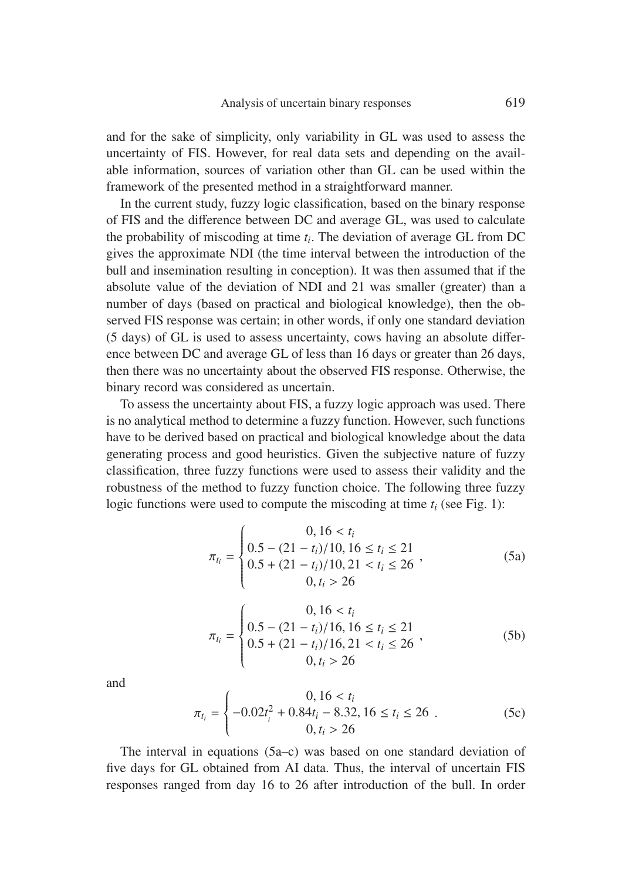and for the sake of simplicity, only variability in GL was used to assess the uncertainty of FIS. However, for real data sets and depending on the available information, sources of variation other than GL can be used within the framework of the presented method in a straightforward manner.

In the current study, fuzzy logic classification, based on the binary response of FIS and the difference between DC and average GL, was used to calculate the probability of miscoding at time *ti*. The deviation of average GL from DC gives the approximate NDI (the time interval between the introduction of the bull and insemination resulting in conception). It was then assumed that if the absolute value of the deviation of NDI and 21 was smaller (greater) than a number of days (based on practical and biological knowledge), then the observed FIS response was certain; in other words, if only one standard deviation (5 days) of GL is used to assess uncertainty, cows having an absolute difference between DC and average GL of less than 16 days or greater than 26 days, then there was no uncertainty about the observed FIS response. Otherwise, the binary record was considered as uncertain.

To assess the uncertainty about FIS, a fuzzy logic approach was used. There is no analytical method to determine a fuzzy function. However, such functions have to be derived based on practical and biological knowledge about the data generating process and good heuristics. Given the subjective nature of fuzzy classification, three fuzzy functions were used to assess their validity and the robustness of the method to fuzzy function choice. The following three fuzzy logic functions were used to compute the miscoding at time  $t_i$  (see Fig. 1):

$$
\pi_{t_i} = \begin{cases}\n0, 16 < t_i \\
0.5 - (21 - t_i)/10, 16 \le t_i \le 21 \\
0.5 + (21 - t_i)/10, 21 < t_i \le 26\n\end{cases} \tag{5a}
$$

$$
\pi_{t_i} = \begin{cases}\n0, 16 < t_i \\
0.5 - (21 - t_i)/16, 16 \le t_i \le 21 \\
0.5 + (21 - t_i)/16, 21 < t_i \le 26\n\end{cases},\tag{5b}
$$

and

$$
\pi_{t_i} = \begin{cases}\n0, 16 < t_i \\
-0.02t_i^2 + 0.84t_i - 8.32, 16 \le t_i \le 26 \\
0, t_i > 26\n\end{cases} \tag{5c}
$$

The interval in equations (5a–c) was based on one standard deviation of five days for GL obtained from AI data. Thus, the interval of uncertain FIS responses ranged from day 16 to 26 after introduction of the bull. In order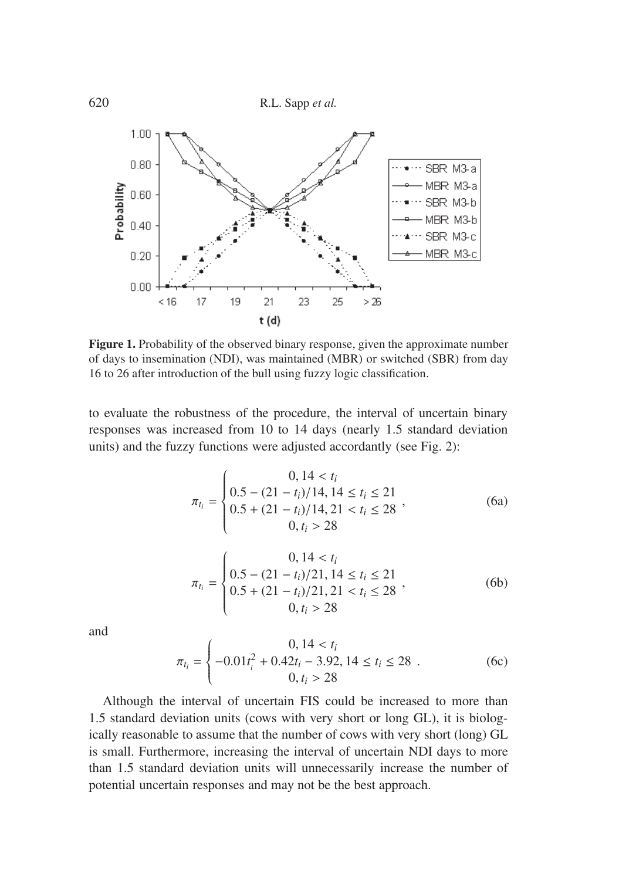620 R.L. Sapp *et al.*



**Figure 1.** Probability of the observed binary response, given the approximate number of days to insemination (NDI), was maintained (MBR) or switched (SBR) from day 16 to 26 after introduction of the bull using fuzzy logic classification.

to evaluate the robustness of the procedure, the interval of uncertain binary responses was increased from 10 to 14 days (nearly 1.5 standard deviation units) and the fuzzy functions were adjusted accordantly (see Fig. 2):

$$
\pi_{t_i} = \begin{cases}\n0, 14 < t_i \\
0.5 - (21 - t_i)/14, 14 \le t_i \le 21 \\
0.5 + (21 - t_i)/14, 21 < t_i \le 28\n\end{cases} \tag{6a}
$$

$$
\pi_{t_i} = \begin{cases}\n0, 14 < t_i \\
0.5 - (21 - t_i)/21, 14 \le t_i \le 21 \\
0.5 + (21 - t_i)/21, 21 < t_i \le 28\n\end{cases},\tag{6b}
$$

and

$$
\pi_{t_i} = \begin{cases}\n0, 14 < t_i \\
-0.01t_i^2 + 0.42t_i - 3.92, 14 \le t_i \le 28 \\
0, t_i > 28\n\end{cases} \tag{6c}
$$

Although the interval of uncertain FIS could be increased to more than 1.5 standard deviation units (cows with very short or long GL), it is biologically reasonable to assume that the number of cows with very short (long) GL is small. Furthermore, increasing the interval of uncertain NDI days to more than 1.5 standard deviation units will unnecessarily increase the number of potential uncertain responses and may not be the best approach.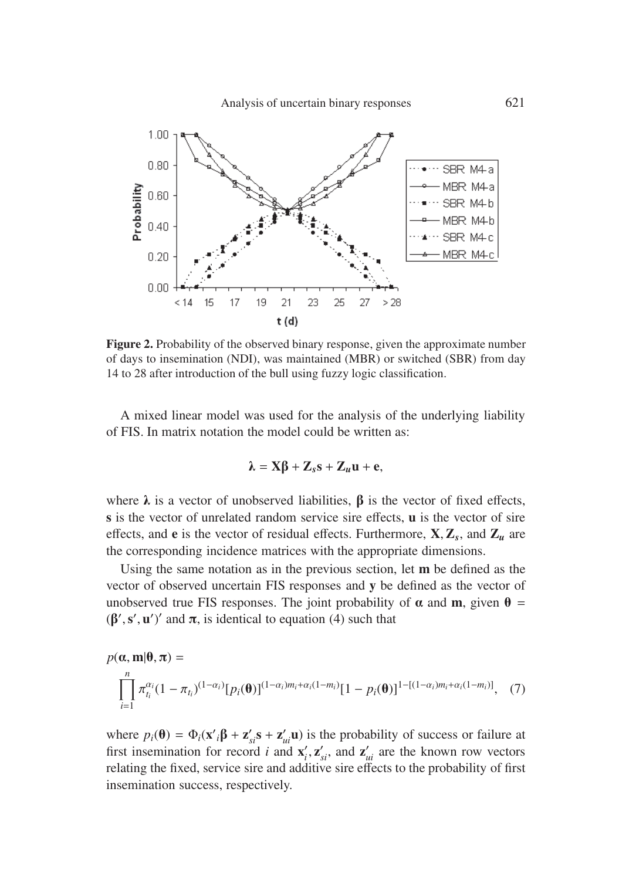

**Figure 2.** Probability of the observed binary response, given the approximate number of days to insemination (NDI), was maintained (MBR) or switched (SBR) from day 14 to 28 after introduction of the bull using fuzzy logic classification.

A mixed linear model was used for the analysis of the underlying liability of FIS. In matrix notation the model could be written as:

$$
\lambda = X\beta + Z_s s + Z_u u + e,
$$

where  $\lambda$  is a vector of unobserved liabilities,  $\beta$  is the vector of fixed effects, **s** is the vector of unrelated random service sire effects, **u** is the vector of sire effects, and **e** is the vector of residual effects. Furthermore,  $\mathbf{X}, \mathbf{Z}_s$ , and  $\mathbf{Z}_u$  are the corresponding incidence matrices with the appropriate dimensions.

Using the same notation as in the previous section, let **m** be defined as the vector of observed uncertain FIS responses and **y** be defined as the vector of unobserved true FIS responses. The joint probability of  $\alpha$  and **m**, given  $\theta$  =  $(\beta', s', u')'$  and  $\pi$ , is identical to equation (4) such that

$$
p(\mathbf{\alpha}, \mathbf{m}|\mathbf{\theta}, \boldsymbol{\pi}) =
$$
  

$$
\prod_{i=1}^{n} \pi_{t_i}^{\alpha_i} (1 - \pi_{t_i})^{(1 - \alpha_i)} [p_i(\mathbf{\theta})]^{(1 - \alpha_i)m_i + \alpha_i(1 - m_i)} [1 - p_i(\mathbf{\theta})]^{1 - [(1 - \alpha_i)m_i + \alpha_i(1 - m_i)]}, (7)
$$

where  $p_i(\mathbf{\theta}) = \Phi_i(\mathbf{x}'_i \mathbf{\beta} + \mathbf{z}'_{si} \mathbf{s} + \mathbf{z}'_{ui} \mathbf{u})$  is the probability of success or failure at first insemination for record *i* and  $\mathbf{x}'_i$ ,  $\mathbf{z}'_{si}$ , and  $\mathbf{z}'_{ui}$  are the known row vectors relating the fixed, service sire and additive sire effects to the probability of first insemination success, respectively.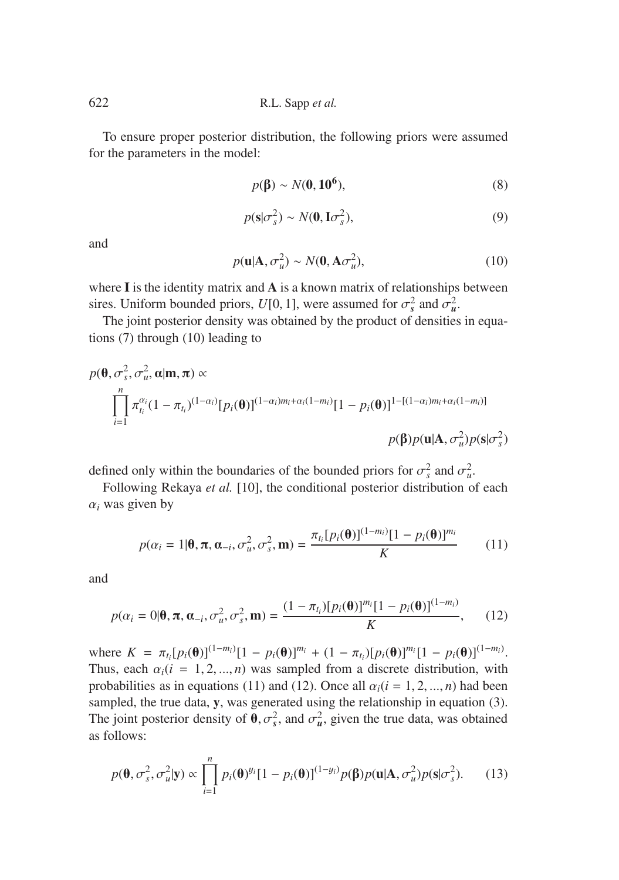622 R.L. Sapp *et al.*

To ensure proper posterior distribution, the following priors were assumed for the parameters in the model:

$$
p(\boldsymbol{\beta}) \sim N(\mathbf{0}, \mathbf{10}^6),\tag{8}
$$

$$
p(\mathbf{s}|\sigma_s^2) \sim N(\mathbf{0}, \mathbf{I}\sigma_s^2),\tag{9}
$$

and

$$
p(\mathbf{u}|\mathbf{A}, \sigma_u^2) \sim N(\mathbf{0}, \mathbf{A}\sigma_u^2),\tag{10}
$$

where **I** is the identity matrix and **A** is a known matrix of relationships between sires. Uniform bounded priors,  $U[0, 1]$ , were assumed for  $\sigma_s^2$  and  $\sigma_u^2$ .

The joint posterior density was obtained by the product of densities in equations (7) through (10) leading to

$$
p(\boldsymbol{\theta}, \sigma_s^2, \sigma_u^2, \boldsymbol{\alpha}|\mathbf{m}, \boldsymbol{\pi}) \propto
$$
\n
$$
\prod_{i=1}^n \pi_{t_i}^{\alpha_i} (1 - \pi_{t_i})^{(1 - \alpha_i)} [p_i(\boldsymbol{\theta})]^{(1 - \alpha_i)m_i + \alpha_i(1 - m_i)} [1 - p_i(\boldsymbol{\theta})]^{1 - [(1 - \alpha_i)m_i + \alpha_i(1 - m_i)]}
$$
\n
$$
p(\boldsymbol{\beta}) p(\mathbf{u}|\mathbf{A}, \sigma_u^2) p(\mathbf{s}|\sigma_s^2)
$$

defined only within the boundaries of the bounded priors for  $\sigma_s^2$  and  $\sigma_u^2$ .

Following Rekaya *et al.* [10], the conditional posterior distribution of each  $\alpha_i$  was given by

$$
p(\alpha_i = 1 | \mathbf{\theta}, \mathbf{\pi}, \mathbf{\alpha}_{-i}, \sigma_u^2, \sigma_s^2, \mathbf{m}) = \frac{\pi_{t_i} [p_i(\mathbf{\theta})]^{(1-m_i)} [1 - p_i(\mathbf{\theta})]^{m_i}}{K}
$$
(11)

and

$$
p(\alpha_i=0|\mathbf{\theta}, \boldsymbol{\pi}, \boldsymbol{\alpha}_{-i}, \sigma_u^2, \sigma_s^2, \mathbf{m}) = \frac{(1-\pi_{t_i})[p_i(\mathbf{\theta})]^{m_i}[1-p_i(\mathbf{\theta})]^{(1-m_i)}}{K},\qquad(12)
$$

where  $K = \pi_{t_i} [p_i(\mathbf{\theta})]^{(1-m_i)} [1 - p_i(\mathbf{\theta})]^{m_i} + (1 - \pi_{t_i}) [p_i(\mathbf{\theta})]^{m_i} [1 - p_i(\mathbf{\theta})]^{(1-m_i)}$ . Thus, each  $\alpha_i$  ( $i = 1, 2, ..., n$ ) was sampled from a discrete distribution, with probabilities as in equations (11) and (12). Once all  $\alpha_i$  ( $i = 1, 2, ..., n$ ) had been sampled, the true data, **y**, was generated using the relationship in equation (3). The joint posterior density of  $\theta$ ,  $\sigma_s^2$ , and  $\sigma_u^2$ , given the true data, was obtained as follows:

$$
p(\boldsymbol{\theta}, \sigma_s^2, \sigma_u^2 | \mathbf{y}) \propto \prod_{i=1}^n p_i(\boldsymbol{\theta})^{y_i} [1 - p_i(\boldsymbol{\theta})]^{(1 - y_i)} p(\boldsymbol{\beta}) p(\mathbf{u} | \mathbf{A}, \sigma_u^2) p(\mathbf{s} | \sigma_s^2).
$$
 (13)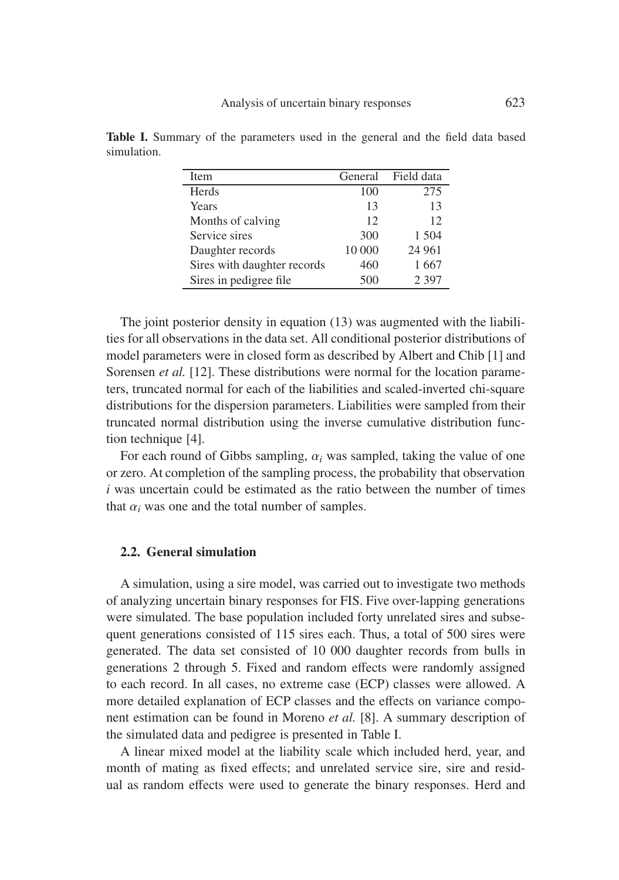| <b>Item</b>                 | General | Field data |
|-----------------------------|---------|------------|
| Herds                       | 100     | 275        |
| Years                       | 13      | 13         |
| Months of calving           | 12      | 12         |
| Service sires               | 300     | 1.504      |
| Daughter records            | 10 000  | 24 961     |
| Sires with daughter records | 460     | 1 667      |
| Sires in pedigree file      | 500     | 2 3 9 7    |

**Table I.** Summary of the parameters used in the general and the field data based simulation.

The joint posterior density in equation (13) was augmented with the liabilities for all observations in the data set. All conditional posterior distributions of model parameters were in closed form as described by Albert and Chib [1] and Sorensen *et al.* [12]. These distributions were normal for the location parameters, truncated normal for each of the liabilities and scaled-inverted chi-square distributions for the dispersion parameters. Liabilities were sampled from their truncated normal distribution using the inverse cumulative distribution function technique [4].

For each round of Gibbs sampling, α*<sup>i</sup>* was sampled, taking the value of one or zero. At completion of the sampling process, the probability that observation *i* was uncertain could be estimated as the ratio between the number of times that  $\alpha_i$  was one and the total number of samples.

# **2.2. General simulation**

A simulation, using a sire model, was carried out to investigate two methods of analyzing uncertain binary responses for FIS. Five over-lapping generations were simulated. The base population included forty unrelated sires and subsequent generations consisted of 115 sires each. Thus, a total of 500 sires were generated. The data set consisted of 10 000 daughter records from bulls in generations 2 through 5. Fixed and random effects were randomly assigned to each record. In all cases, no extreme case (ECP) classes were allowed. A more detailed explanation of ECP classes and the effects on variance component estimation can be found in Moreno *et al.* [8]. A summary description of the simulated data and pedigree is presented in Table I.

A linear mixed model at the liability scale which included herd, year, and month of mating as fixed effects; and unrelated service sire, sire and residual as random effects were used to generate the binary responses. Herd and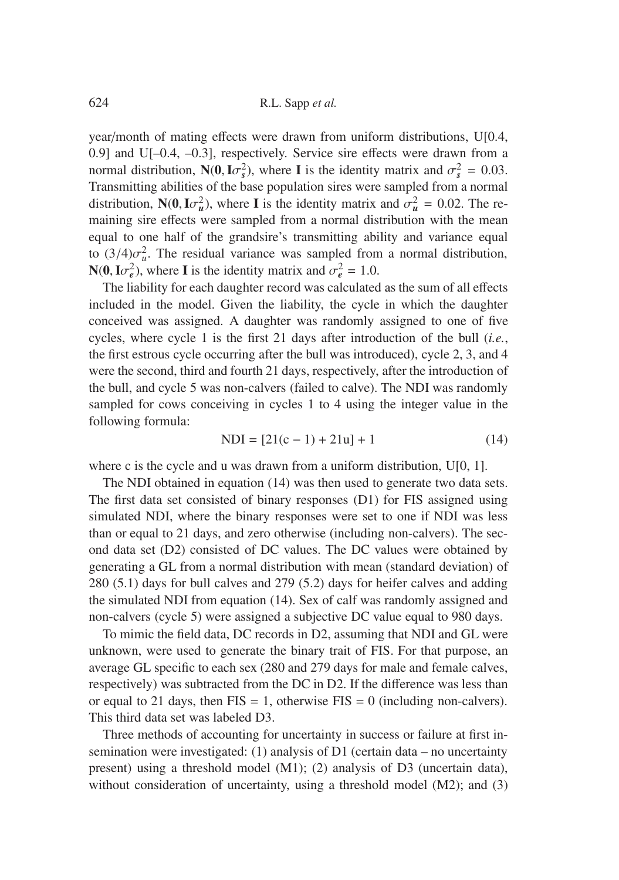year/month of mating effects were drawn from uniform distributions, U[0.4, 0.9] and U[–0.4, –0.3], respectively. Service sire effects were drawn from a normal distribution,  $N(0, I\sigma_s^2)$ , where **I** is the identity matrix and  $\sigma_s^2 = 0.03$ . Transmitting abilities of the base population sires were sampled from a normal distribution,  $N(0, I\sigma_u^2)$ , where **I** is the identity matrix and  $\sigma_u^2 = 0.02$ . The remaining sire effects were sampled from a normal distribution with the mean equal to one half of the grandsire's transmitting ability and variance equal to  $(3/4)\sigma_u^2$ . The residual variance was sampled from a normal distribution, **N**(0,  $I\sigma_e^2$ ), where **I** is the identity matrix and  $\sigma_e^2 = 1.0$ .

The liability for each daughter record was calculated as the sum of all effects included in the model. Given the liability, the cycle in which the daughter conceived was assigned. A daughter was randomly assigned to one of five cycles, where cycle 1 is the first 21 days after introduction of the bull (*i.e.*, the first estrous cycle occurring after the bull was introduced), cycle 2, 3, and 4 were the second, third and fourth 21 days, respectively, after the introduction of the bull, and cycle 5 was non-calvers (failed to calve). The NDI was randomly sampled for cows conceiving in cycles 1 to 4 using the integer value in the following formula:

$$
NDI = [21(c - 1) + 21u] + 1 \tag{14}
$$

where c is the cycle and u was drawn from a uniform distribution, U[0, 1].

The NDI obtained in equation (14) was then used to generate two data sets. The first data set consisted of binary responses (D1) for FIS assigned using simulated NDI, where the binary responses were set to one if NDI was less than or equal to 21 days, and zero otherwise (including non-calvers). The second data set (D2) consisted of DC values. The DC values were obtained by generating a GL from a normal distribution with mean (standard deviation) of 280 (5.1) days for bull calves and 279 (5.2) days for heifer calves and adding the simulated NDI from equation (14). Sex of calf was randomly assigned and non-calvers (cycle 5) were assigned a subjective DC value equal to 980 days.

To mimic the field data, DC records in D2, assuming that NDI and GL were unknown, were used to generate the binary trait of FIS. For that purpose, an average GL specific to each sex (280 and 279 days for male and female calves, respectively) was subtracted from the DC in D2. If the difference was less than or equal to 21 days, then  $FIS = 1$ , otherwise  $FIS = 0$  (including non-calvers). This third data set was labeled D3.

Three methods of accounting for uncertainty in success or failure at first insemination were investigated: (1) analysis of D1 (certain data – no uncertainty present) using a threshold model (M1); (2) analysis of D3 (uncertain data), without consideration of uncertainty, using a threshold model (M2); and (3)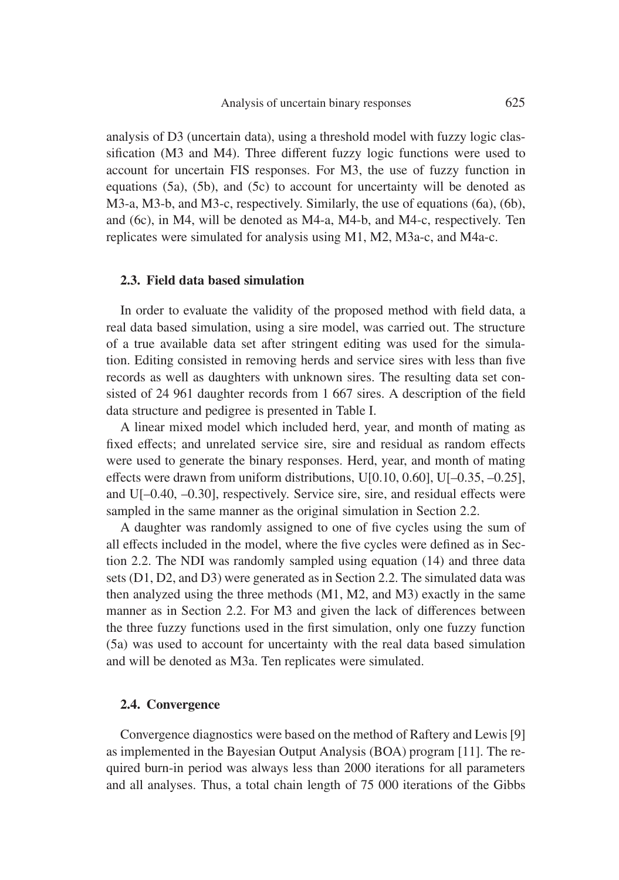analysis of D3 (uncertain data), using a threshold model with fuzzy logic classification (M3 and M4). Three different fuzzy logic functions were used to account for uncertain FIS responses. For M3, the use of fuzzy function in equations (5a), (5b), and (5c) to account for uncertainty will be denoted as M3-a, M3-b, and M3-c, respectively. Similarly, the use of equations (6a), (6b), and (6c), in M4, will be denoted as M4-a, M4-b, and M4-c, respectively. Ten replicates were simulated for analysis using M1, M2, M3a-c, and M4a-c.

#### **2.3. Field data based simulation**

In order to evaluate the validity of the proposed method with field data, a real data based simulation, using a sire model, was carried out. The structure of a true available data set after stringent editing was used for the simulation. Editing consisted in removing herds and service sires with less than five records as well as daughters with unknown sires. The resulting data set consisted of 24 961 daughter records from 1 667 sires. A description of the field data structure and pedigree is presented in Table I.

A linear mixed model which included herd, year, and month of mating as fixed effects; and unrelated service sire, sire and residual as random effects were used to generate the binary responses. Herd, year, and month of mating effects were drawn from uniform distributions, U[0.10, 0.60], U[–0.35, –0.25], and U[–0.40, –0.30], respectively. Service sire, sire, and residual effects were sampled in the same manner as the original simulation in Section 2.2.

A daughter was randomly assigned to one of five cycles using the sum of all effects included in the model, where the five cycles were defined as in Section 2.2. The NDI was randomly sampled using equation (14) and three data sets (D1, D2, and D3) were generated as in Section 2.2. The simulated data was then analyzed using the three methods (M1, M2, and M3) exactly in the same manner as in Section 2.2. For M3 and given the lack of differences between the three fuzzy functions used in the first simulation, only one fuzzy function (5a) was used to account for uncertainty with the real data based simulation and will be denoted as M3a. Ten replicates were simulated.

# **2.4. Convergence**

Convergence diagnostics were based on the method of Raftery and Lewis [9] as implemented in the Bayesian Output Analysis (BOA) program [11]. The required burn-in period was always less than 2000 iterations for all parameters and all analyses. Thus, a total chain length of 75 000 iterations of the Gibbs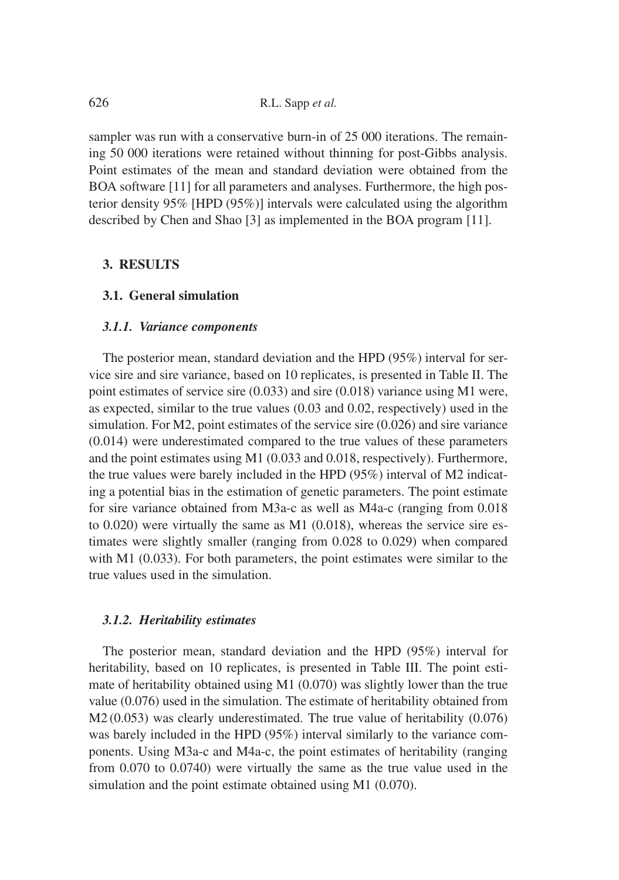sampler was run with a conservative burn-in of 25 000 iterations. The remaining 50 000 iterations were retained without thinning for post-Gibbs analysis. Point estimates of the mean and standard deviation were obtained from the BOA software [11] for all parameters and analyses. Furthermore, the high posterior density 95% [HPD (95%)] intervals were calculated using the algorithm described by Chen and Shao [3] as implemented in the BOA program [11].

# **3. RESULTS**

# **3.1. General simulation**

#### *3.1.1. Variance components*

The posterior mean, standard deviation and the HPD (95%) interval for service sire and sire variance, based on 10 replicates, is presented in Table II. The point estimates of service sire (0.033) and sire (0.018) variance using M1 were, as expected, similar to the true values (0.03 and 0.02, respectively) used in the simulation. For M2, point estimates of the service sire (0.026) and sire variance (0.014) were underestimated compared to the true values of these parameters and the point estimates using M1 (0.033 and 0.018, respectively). Furthermore, the true values were barely included in the HPD (95%) interval of M2 indicating a potential bias in the estimation of genetic parameters. The point estimate for sire variance obtained from M3a-c as well as M4a-c (ranging from 0.018 to 0.020) were virtually the same as M1 (0.018), whereas the service sire estimates were slightly smaller (ranging from 0.028 to 0.029) when compared with M1 (0.033). For both parameters, the point estimates were similar to the true values used in the simulation.

# *3.1.2. Heritability estimates*

The posterior mean, standard deviation and the HPD (95%) interval for heritability, based on 10 replicates, is presented in Table III. The point estimate of heritability obtained using M1 (0.070) was slightly lower than the true value (0.076) used in the simulation. The estimate of heritability obtained from M2 (0.053) was clearly underestimated. The true value of heritability (0.076) was barely included in the HPD (95%) interval similarly to the variance components. Using M3a-c and M4a-c, the point estimates of heritability (ranging from 0.070 to 0.0740) were virtually the same as the true value used in the simulation and the point estimate obtained using M1 (0.070).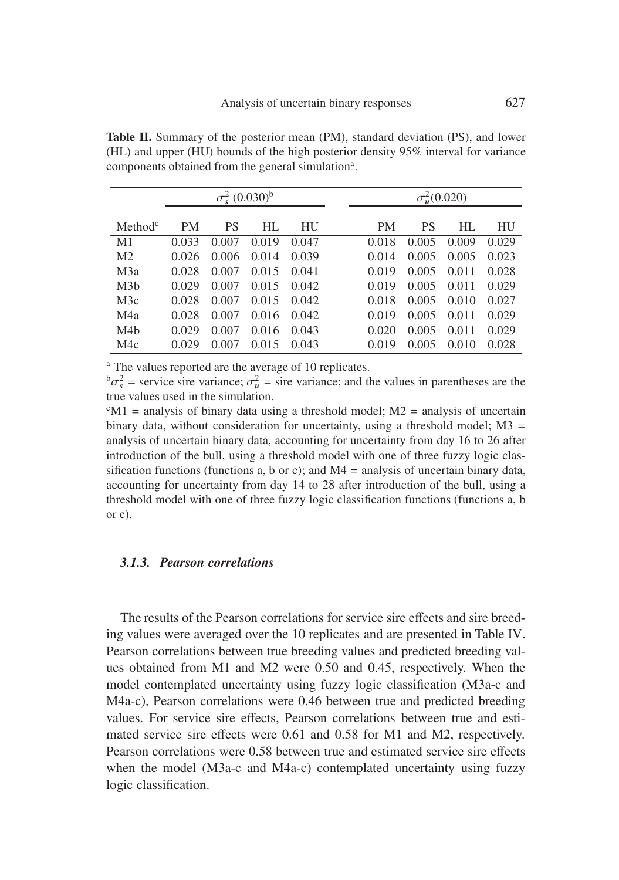**Table II.** Summary of the posterior mean (PM), standard deviation (PS), and lower (HL) and upper (HU) bounds of the high posterior density 95% interval for variance components obtained from the general simulation<sup>a</sup>.

|                     |           |       | $\sigma_s^2$ (0.030) <sup>b</sup> |       |           |           | $\sigma_u^2(0.020)$ |       |
|---------------------|-----------|-------|-----------------------------------|-------|-----------|-----------|---------------------|-------|
| Method <sup>c</sup> | <b>PM</b> | PS    | HL.                               | HU    | <b>PM</b> | <b>PS</b> | HL.                 | HU    |
| M1                  | 0.033     | 0.007 | 0.019                             | 0.047 | 0.018     | 0.005     | 0.009               | 0.029 |
| M <sub>2</sub>      | 0.026     | 0.006 | 0.014                             | 0.039 | 0.014     | 0.005     | 0.005               | 0.023 |
| M3a                 | 0.028     | 0.007 | 0.015                             | 0.041 | 0.019     | 0.005     | 0.011               | 0.028 |
| M3h                 | 0.029     | 0.007 | 0.015                             | 0.042 | 0.019     | 0.005     | 0.011               | 0.029 |
| M3c                 | 0.028     | 0.007 | 0.015                             | 0.042 | 0.018     | 0.005     | 0.010               | 0.027 |
| M4a                 | 0.028     | 0.007 | 0.016                             | 0.042 | 0.019     | 0.005     | 0.011               | 0.029 |
| M4 <sub>b</sub>     | 0.029     | 0.007 | 0.016                             | 0.043 | 0.020     | 0.005     | 0.011               | 0.029 |
| M4c                 | 0.029     | 0.007 | 0.015                             | 0.043 | 0.019     | 0.005     | 0.010               | 0.028 |

<sup>a</sup> The values reported are the average of 10 replicates.

 ${}^{b}\sigma_{s}^{2}$  = service sire variance;  $\sigma_{u}^{2}$  = sire variance; and the values in parentheses are the true values used in the simulation.

 $c<sub>M1</sub>$  = analysis of binary data using a threshold model; M2 = analysis of uncertain binary data, without consideration for uncertainty, using a threshold model;  $M3 =$ analysis of uncertain binary data, accounting for uncertainty from day 16 to 26 after introduction of the bull, using a threshold model with one of three fuzzy logic classification functions (functions a, b or c); and  $M4$  = analysis of uncertain binary data, accounting for uncertainty from day 14 to 28 after introduction of the bull, using a threshold model with one of three fuzzy logic classification functions (functions a, b or c).

### *3.1.3. Pearson correlations*

The results of the Pearson correlations for service sire effects and sire breeding values were averaged over the 10 replicates and are presented in Table IV. Pearson correlations between true breeding values and predicted breeding values obtained from M1 and M2 were 0.50 and 0.45, respectively. When the model contemplated uncertainty using fuzzy logic classification (M3a-c and M4a-c), Pearson correlations were 0.46 between true and predicted breeding values. For service sire effects, Pearson correlations between true and estimated service sire effects were 0.61 and 0.58 for M1 and M2, respectively. Pearson correlations were 0.58 between true and estimated service sire effects when the model (M3a-c and M4a-c) contemplated uncertainty using fuzzy logic classification.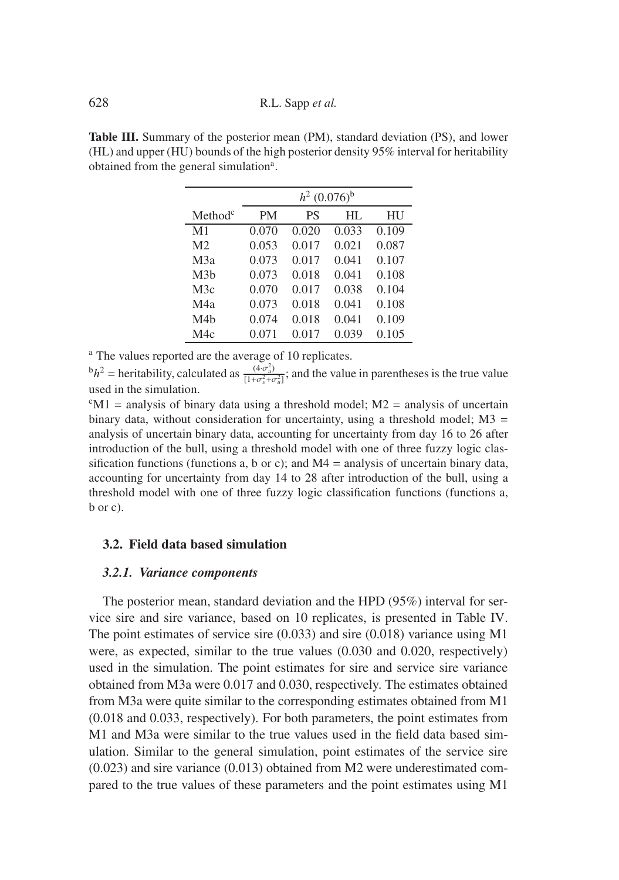628 R.L. Sapp *et al.*

**Table III.** Summary of the posterior mean (PM), standard deviation (PS), and lower (HL) and upper (HU) bounds of the high posterior density 95% interval for heritability obtained from the general simulation<sup>a</sup>.

|                     |           | $h^2$ (0.076) <sup>b</sup> |       |       |
|---------------------|-----------|----------------------------|-------|-------|
| Method <sup>c</sup> | <b>PM</b> | <b>PS</b>                  | HL.   | HU    |
| M <sub>1</sub>      | 0.070     | 0.020                      | 0.033 | 0.109 |
| M <sub>2</sub>      | 0.053     | 0.017                      | 0.021 | 0.087 |
| M3a                 | 0.073     | 0.017                      | 0.041 | 0.107 |
| M3h                 | 0.073     | 0.018                      | 0.041 | 0.108 |
| M3c                 | 0.070     | 0.017                      | 0.038 | 0.104 |
| M4a                 | 0.073     | 0.018                      | 0.041 | 0.108 |
| M4 <sub>b</sub>     | 0.074     | 0.018                      | 0.041 | 0.109 |
| M4c                 | 0.071     | 0.017                      | 0.039 | 0.105 |

<sup>a</sup> The values reported are the average of 10 replicates.

 $b'h^2$  = heritability, calculated as  $\frac{(4\sigma_u^2)}{[1+\sigma_s^2+\sigma_u^2]}$ ; and the value in parentheses is the true value used in the simulation.

 ${}^{\text{c}}$ M1 = analysis of binary data using a threshold model; M2 = analysis of uncertain binary data, without consideration for uncertainty, using a threshold model;  $M3 =$ analysis of uncertain binary data, accounting for uncertainty from day 16 to 26 after introduction of the bull, using a threshold model with one of three fuzzy logic classification functions (functions a, b or c); and  $M4$  = analysis of uncertain binary data, accounting for uncertainty from day 14 to 28 after introduction of the bull, using a threshold model with one of three fuzzy logic classification functions (functions a, b or c).

# **3.2. Field data based simulation**

## *3.2.1. Variance components*

The posterior mean, standard deviation and the HPD (95%) interval for service sire and sire variance, based on 10 replicates, is presented in Table IV. The point estimates of service sire (0.033) and sire (0.018) variance using M1 were, as expected, similar to the true values (0.030 and 0.020, respectively) used in the simulation. The point estimates for sire and service sire variance obtained from M3a were 0.017 and 0.030, respectively. The estimates obtained from M3a were quite similar to the corresponding estimates obtained from M1 (0.018 and 0.033, respectively). For both parameters, the point estimates from M1 and M3a were similar to the true values used in the field data based simulation. Similar to the general simulation, point estimates of the service sire (0.023) and sire variance (0.013) obtained from M2 were underestimated compared to the true values of these parameters and the point estimates using M1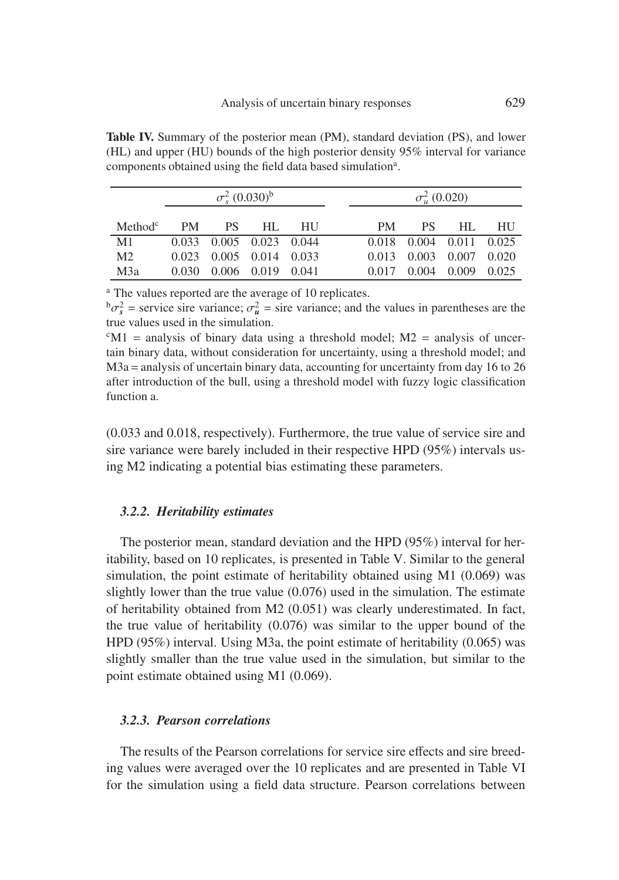**Table IV.** Summary of the posterior mean (PM), standard deviation (PS), and lower (HL) and upper (HU) bounds of the high posterior density 95% interval for variance components obtained using the field data based simulation<sup>a</sup>.

|                     |      |                                 | $\sigma_s^2$ (0.030) <sup>b</sup> |  |      |           | $\sigma_u^2$ (0.020)            |       |
|---------------------|------|---------------------------------|-----------------------------------|--|------|-----------|---------------------------------|-------|
| Method <sup>c</sup> | PM — |                                 | PS HL HU                          |  | PM — | <b>PS</b> | HL.                             | - HU  |
| M1                  |      | $0.033$ $0.005$ $0.023$ $0.044$ |                                   |  |      |           | $0.018$ $0.004$ $0.011$ $0.025$ |       |
| M <sub>2</sub>      |      | $0.023$ $0.005$ $0.014$ $0.033$ |                                   |  |      |           | $0.013$ $0.003$ $0.007$ $0.020$ |       |
| M3a                 |      | $0.030$ $0.006$ $0.019$ $0.041$ |                                   |  |      |           | $0.017$ $0.004$ $0.009$         | 0.025 |

<sup>a</sup> The values reported are the average of 10 replicates.

 ${}^{b}\sigma_{s}^{2}$  = service sire variance;  $\sigma_{u}^{2}$  = sire variance; and the values in parentheses are the true values used in the simulation.

 $c<sub>M1</sub>$  = analysis of binary data using a threshold model; M2 = analysis of uncertain binary data, without consideration for uncertainty, using a threshold model; and M3a= analysis of uncertain binary data, accounting for uncertainty from day 16 to 26 after introduction of the bull, using a threshold model with fuzzy logic classification function a.

(0.033 and 0.018, respectively). Furthermore, the true value of service sire and sire variance were barely included in their respective HPD (95%) intervals using M2 indicating a potential bias estimating these parameters.

#### *3.2.2. Heritability estimates*

The posterior mean, standard deviation and the HPD (95%) interval for heritability, based on 10 replicates, is presented in Table V. Similar to the general simulation, the point estimate of heritability obtained using M1 (0.069) was slightly lower than the true value (0.076) used in the simulation. The estimate of heritability obtained from M2 (0.051) was clearly underestimated. In fact, the true value of heritability (0.076) was similar to the upper bound of the HPD (95%) interval. Using M3a, the point estimate of heritability (0.065) was slightly smaller than the true value used in the simulation, but similar to the point estimate obtained using M1 (0.069).

# *3.2.3. Pearson correlations*

The results of the Pearson correlations for service sire effects and sire breeding values were averaged over the 10 replicates and are presented in Table VI for the simulation using a field data structure. Pearson correlations between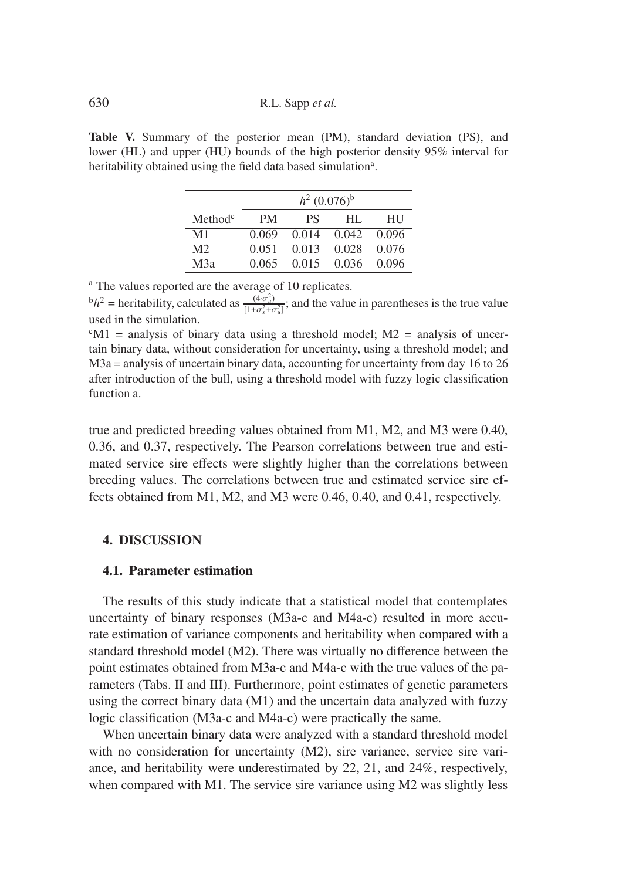**Table V.** Summary of the posterior mean (PM), standard deviation (PS), and lower (HL) and upper (HU) bounds of the high posterior density 95% interval for heritability obtained using the field data based simulation<sup>a</sup>.

|                     |       | $h^2$ (0.076) <sup>b</sup> |       |           |
|---------------------|-------|----------------------------|-------|-----------|
| Method <sup>c</sup> | PM    | PS.                        | HL.   | <b>HU</b> |
| M <sub>1</sub>      | 0.069 | 0.014                      | 0.042 | 0.096     |
| M <sub>2</sub>      | 0.051 | 0.013                      | 0.028 | 0.076     |
| M3a                 | 0.065 | 0.015                      | 0.036 | 0.096     |

<sup>a</sup> The values reported are the average of 10 replicates.

 $b'h^2$  = heritability, calculated as  $\frac{(4\sigma_u^2)}{[1+\sigma_s^2+\sigma_u^2]}$ ; and the value in parentheses is the true value used in the simulation.

 $c$ M1 = analysis of binary data using a threshold model; M2 = analysis of uncertain binary data, without consideration for uncertainty, using a threshold model; and M3a= analysis of uncertain binary data, accounting for uncertainty from day 16 to 26 after introduction of the bull, using a threshold model with fuzzy logic classification function a.

true and predicted breeding values obtained from M1, M2, and M3 were 0.40, 0.36, and 0.37, respectively. The Pearson correlations between true and estimated service sire effects were slightly higher than the correlations between breeding values. The correlations between true and estimated service sire effects obtained from M1, M2, and M3 were 0.46, 0.40, and 0.41, respectively.

# **4. DISCUSSION**

# **4.1. Parameter estimation**

The results of this study indicate that a statistical model that contemplates uncertainty of binary responses (M3a-c and M4a-c) resulted in more accurate estimation of variance components and heritability when compared with a standard threshold model (M2). There was virtually no difference between the point estimates obtained from M3a-c and M4a-c with the true values of the parameters (Tabs. II and III). Furthermore, point estimates of genetic parameters using the correct binary data (M1) and the uncertain data analyzed with fuzzy logic classification (M3a-c and M4a-c) were practically the same.

When uncertain binary data were analyzed with a standard threshold model with no consideration for uncertainty (M2), sire variance, service sire variance, and heritability were underestimated by 22, 21, and 24%, respectively, when compared with M1. The service sire variance using M2 was slightly less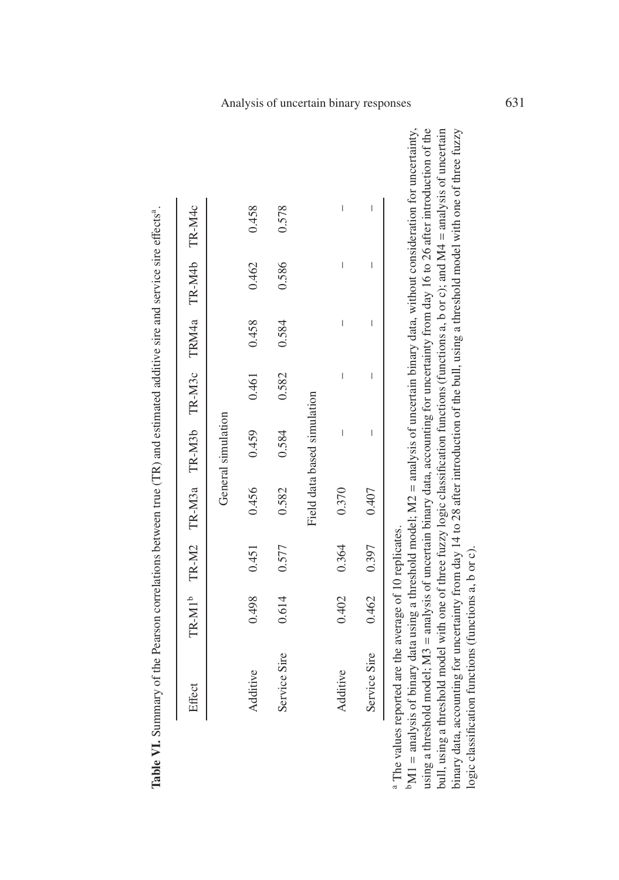| Effect       |       |       |       |                             |       |                          | TR-M1 <sup>b</sup> TR-M2 TR-M3a TR-M3b TR-M3c TRM4a TR-M4b TR-M4c |       |
|--------------|-------|-------|-------|-----------------------------|-------|--------------------------|-------------------------------------------------------------------|-------|
|              |       |       |       | General simulation          |       |                          |                                                                   |       |
| Additive     | 0.498 | 0.451 | 0.456 | 0.459                       | 0.461 | 0.458                    | 0.462                                                             | 0.458 |
| Service Sire | 0.614 | 0.577 | 0.582 | 0.584                       | 0.582 | 0.584                    | 0.586                                                             | 0.578 |
|              |       |       |       | Field data based simulation |       |                          |                                                                   |       |
| Additive     | 0.402 | 0.364 | 0.370 | Ī                           | I     | $\overline{\phantom{a}}$ | I                                                                 | I     |
| Service Sire | 0.462 | 0.397 | 0.407 | I                           | I     | I                        | I                                                                 | I     |

 $f(x) = -1$ **Table VI.** Summary of the Pearson correlations between true (TR) and estimated additive sire and service sire e ÌН.  $\ddot{\phantom{0}}$  $\epsilon$  $\ddot{\cdot}$ Ú Table VI.

<sup>a</sup> The valu The values reported are the average of 10 replicates.

rtainty, using a threshold model; M3 = analysis of uncertain binary data, accounting for uncertainty from day 16 to 26 after introduction of the bull, using a threshold model with one of three fuzzy logic classification functions (functions a, b or c); and M4 = analysis of uncertain binary data, accounting for uncertainty from day 14 to 28 after introduction of the bull, using a threshold model with one of three fuzzy analysis of uncertain binary data, without consideration for uncertainty, analysis of uncertain binary data, accounting for uncertainty from day 16 to 26 after introduction of the analysis of uncertain binary data, accounting for uncertainty from day 14 to 28 after introduction of the bull, using a threshold model with one of three fuzzy bull, using a threshold model with one of three fuzzy logic classification functions (functions a, b or c); and M4 analysis of binary data using a threshold model; M2 logic classification functions (functions a, b or c). logic classification functions (functions a, b or c).using a threshold model; M3 =bM1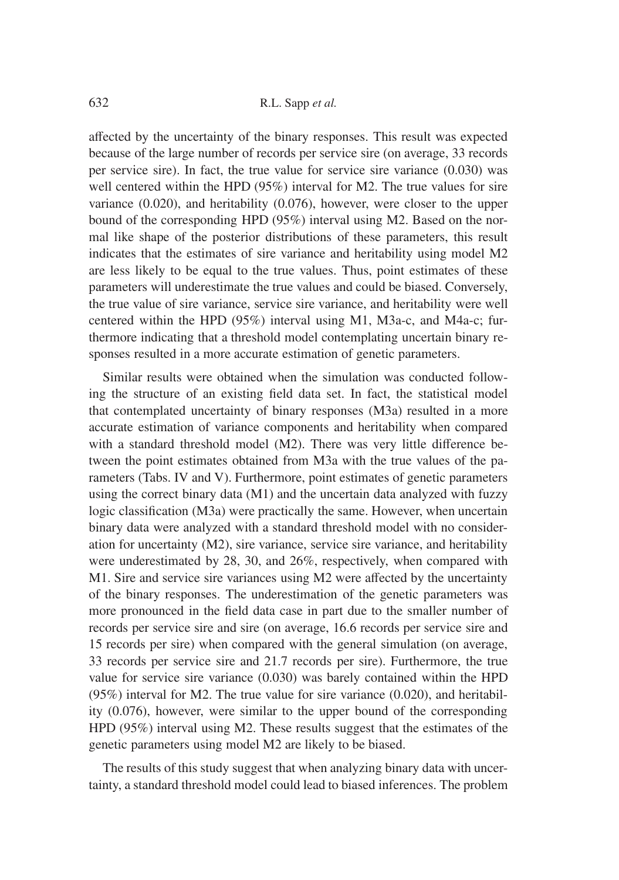affected by the uncertainty of the binary responses. This result was expected because of the large number of records per service sire (on average, 33 records per service sire). In fact, the true value for service sire variance (0.030) was well centered within the HPD (95%) interval for M2. The true values for sire variance (0.020), and heritability (0.076), however, were closer to the upper bound of the corresponding HPD (95%) interval using M2. Based on the normal like shape of the posterior distributions of these parameters, this result indicates that the estimates of sire variance and heritability using model M2 are less likely to be equal to the true values. Thus, point estimates of these parameters will underestimate the true values and could be biased. Conversely, the true value of sire variance, service sire variance, and heritability were well centered within the HPD (95%) interval using M1, M3a-c, and M4a-c; furthermore indicating that a threshold model contemplating uncertain binary responses resulted in a more accurate estimation of genetic parameters.

Similar results were obtained when the simulation was conducted following the structure of an existing field data set. In fact, the statistical model that contemplated uncertainty of binary responses (M3a) resulted in a more accurate estimation of variance components and heritability when compared with a standard threshold model (M2). There was very little difference between the point estimates obtained from M3a with the true values of the parameters (Tabs. IV and V). Furthermore, point estimates of genetic parameters using the correct binary data (M1) and the uncertain data analyzed with fuzzy logic classification (M3a) were practically the same. However, when uncertain binary data were analyzed with a standard threshold model with no consideration for uncertainty (M2), sire variance, service sire variance, and heritability were underestimated by 28, 30, and 26%, respectively, when compared with M1. Sire and service sire variances using M2 were affected by the uncertainty of the binary responses. The underestimation of the genetic parameters was more pronounced in the field data case in part due to the smaller number of records per service sire and sire (on average, 16.6 records per service sire and 15 records per sire) when compared with the general simulation (on average, 33 records per service sire and 21.7 records per sire). Furthermore, the true value for service sire variance (0.030) was barely contained within the HPD (95%) interval for M2. The true value for sire variance (0.020), and heritability (0.076), however, were similar to the upper bound of the corresponding HPD (95%) interval using M2. These results suggest that the estimates of the genetic parameters using model M2 are likely to be biased.

The results of this study suggest that when analyzing binary data with uncertainty, a standard threshold model could lead to biased inferences. The problem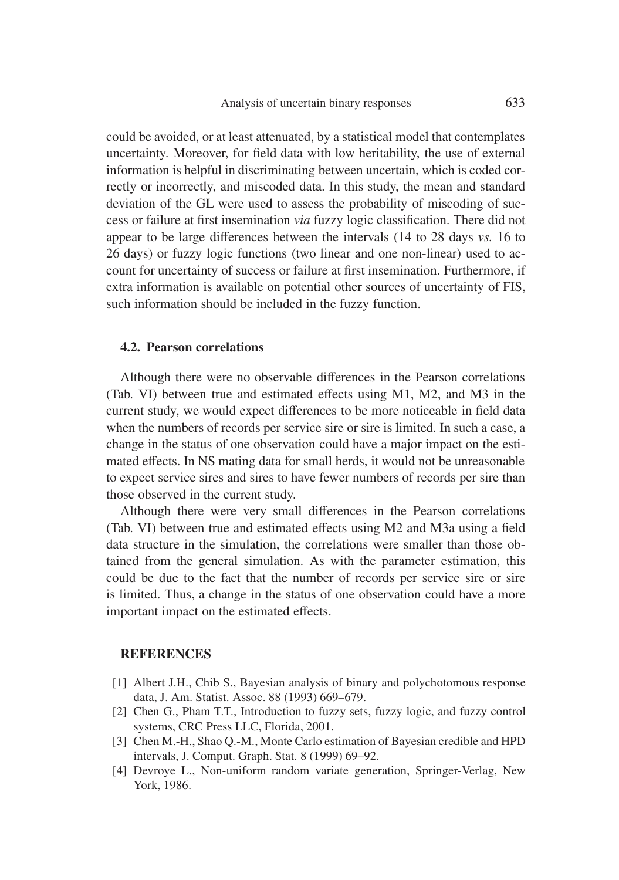could be avoided, or at least attenuated, by a statistical model that contemplates uncertainty. Moreover, for field data with low heritability, the use of external information is helpful in discriminating between uncertain, which is coded correctly or incorrectly, and miscoded data. In this study, the mean and standard deviation of the GL were used to assess the probability of miscoding of success or failure at first insemination *via* fuzzy logic classification. There did not appear to be large differences between the intervals (14 to 28 days *vs.* 16 to 26 days) or fuzzy logic functions (two linear and one non-linear) used to account for uncertainty of success or failure at first insemination. Furthermore, if extra information is available on potential other sources of uncertainty of FIS, such information should be included in the fuzzy function.

# **4.2. Pearson correlations**

Although there were no observable differences in the Pearson correlations (Tab. VI) between true and estimated effects using M1, M2, and M3 in the current study, we would expect differences to be more noticeable in field data when the numbers of records per service sire or sire is limited. In such a case, a change in the status of one observation could have a major impact on the estimated effects. In NS mating data for small herds, it would not be unreasonable to expect service sires and sires to have fewer numbers of records per sire than those observed in the current study.

Although there were very small differences in the Pearson correlations (Tab. VI) between true and estimated effects using M2 and M3a using a field data structure in the simulation, the correlations were smaller than those obtained from the general simulation. As with the parameter estimation, this could be due to the fact that the number of records per service sire or sire is limited. Thus, a change in the status of one observation could have a more important impact on the estimated effects.

#### **REFERENCES**

- [1] Albert J.H., Chib S., Bayesian analysis of binary and polychotomous response data, J. Am. Statist. Assoc. 88 (1993) 669–679.
- [2] Chen G., Pham T.T., Introduction to fuzzy sets, fuzzy logic, and fuzzy control systems, CRC Press LLC, Florida, 2001.
- [3] Chen M.-H., Shao Q.-M., Monte Carlo estimation of Bayesian credible and HPD intervals, J. Comput. Graph. Stat. 8 (1999) 69–92.
- [4] Devroye L., Non-uniform random variate generation, Springer-Verlag, New York, 1986.